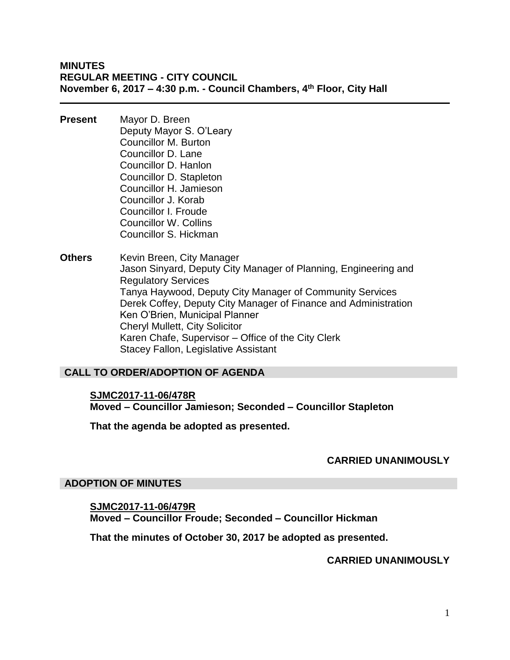**MINUTES REGULAR MEETING - CITY COUNCIL November 6, 2017 – 4:30 p.m. - Council Chambers, 4th Floor, City Hall**

- **Present** Mayor D. Breen Deputy Mayor S. O'Leary Councillor M. Burton Councillor D. Lane Councillor D. Hanlon Councillor D. Stapleton Councillor H. Jamieson Councillor J. Korab Councillor I. Froude Councillor W. Collins Councillor S. Hickman
- **Others** Kevin Breen, City Manager Jason Sinyard, Deputy City Manager of Planning, Engineering and Regulatory Services Tanya Haywood, Deputy City Manager of Community Services Derek Coffey, Deputy City Manager of Finance and Administration Ken O'Brien, Municipal Planner Cheryl Mullett, City Solicitor Karen Chafe, Supervisor – Office of the City Clerk Stacey Fallon, Legislative Assistant

#### **CALL TO ORDER/ADOPTION OF AGENDA**

**SJMC2017-11-06/478R Moved – Councillor Jamieson; Seconded – Councillor Stapleton**

**That the agenda be adopted as presented.**

#### **CARRIED UNANIMOUSLY**

#### **ADOPTION OF MINUTES**

**SJMC2017-11-06/479R Moved – Councillor Froude; Seconded – Councillor Hickman**

**That the minutes of October 30, 2017 be adopted as presented.**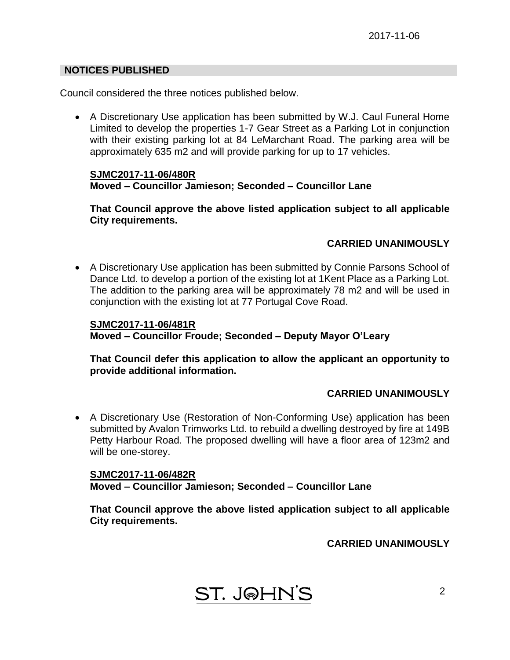#### **NOTICES PUBLISHED**

Council considered the three notices published below.

 A Discretionary Use application has been submitted by W.J. Caul Funeral Home Limited to develop the properties 1-7 Gear Street as a Parking Lot in conjunction with their existing parking lot at 84 LeMarchant Road. The parking area will be approximately 635 m2 and will provide parking for up to 17 vehicles.

#### **SJMC2017-11-06/480R Moved – Councillor Jamieson; Seconded – Councillor Lane**

**That Council approve the above listed application subject to all applicable City requirements.**

## **CARRIED UNANIMOUSLY**

 A Discretionary Use application has been submitted by Connie Parsons School of Dance Ltd. to develop a portion of the existing lot at 1Kent Place as a Parking Lot. The addition to the parking area will be approximately 78 m2 and will be used in conjunction with the existing lot at 77 Portugal Cove Road.

**SJMC2017-11-06/481R Moved – Councillor Froude; Seconded – Deputy Mayor O'Leary**

**That Council defer this application to allow the applicant an opportunity to provide additional information.**

#### **CARRIED UNANIMOUSLY**

 A Discretionary Use (Restoration of Non-Conforming Use) application has been submitted by Avalon Trimworks Ltd. to rebuild a dwelling destroyed by fire at 149B Petty Harbour Road. The proposed dwelling will have a floor area of 123m2 and will be one-storey.

**SJMC2017-11-06/482R Moved – Councillor Jamieson; Seconded – Councillor Lane**

**That Council approve the above listed application subject to all applicable City requirements.**

**ST. J@HN'S**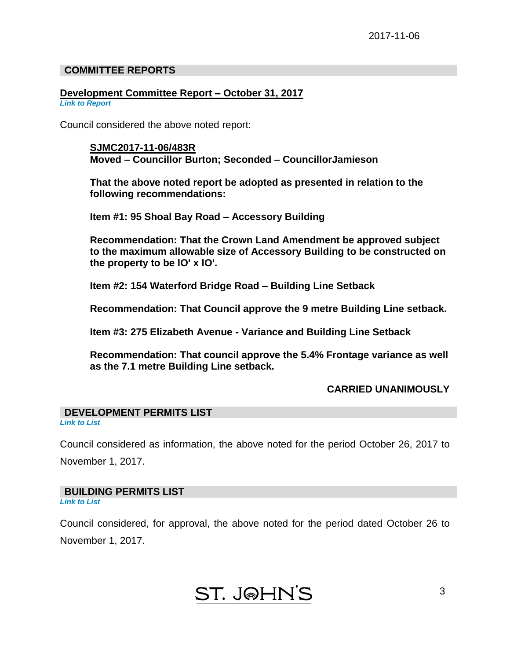#### **COMMITTEE REPORTS**

# **Development Committee Report – October 31, 2017**

*Link to Report*

Council considered the above noted report:

**SJMC2017-11-06/483R Moved – Councillor Burton; Seconded – CouncillorJamieson**

**That the above noted report be adopted as presented in relation to the following recommendations:**

**Item #1: 95 Shoal Bay Road – Accessory Building**

**Recommendation: That the Crown Land Amendment be approved subject to the maximum allowable size of Accessory Building to be constructed on the property to be lO' x lO'.**

**Item #2: 154 Waterford Bridge Road – Building Line Setback**

**Recommendation: That Council approve the 9 metre Building Line setback.**

**Item #3: 275 Elizabeth Avenue - Variance and Building Line Setback**

**Recommendation: That council approve the 5.4% Frontage variance as well as the 7.1 metre Building Line setback.**

#### **CARRIED UNANIMOUSLY**

## **DEVELOPMENT PERMITS LIST**

*Link to List*

Council considered as information, the above noted for the period October 26, 2017 to November 1, 2017.

#### **BUILDING PERMITS LIST**

*Link to List*

Council considered, for approval, the above noted for the period dated October 26 to November 1, 2017.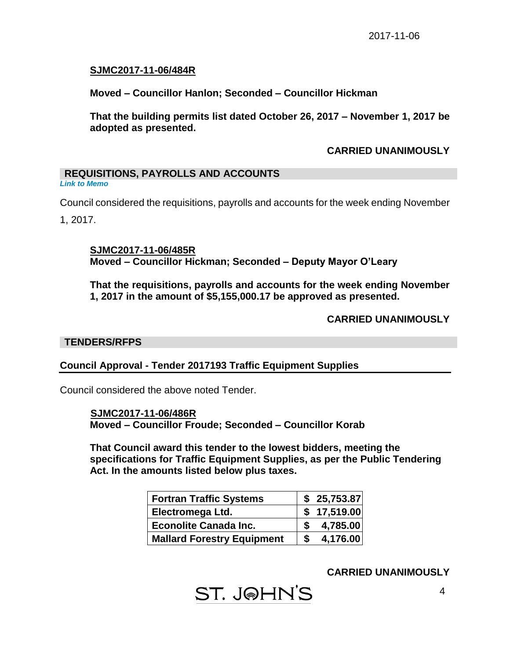## **SJMC2017-11-06/484R**

**Moved – Councillor Hanlon; Seconded – Councillor Hickman**

**That the building permits list dated October 26, 2017 – November 1, 2017 be adopted as presented.**

#### **CARRIED UNANIMOUSLY**

## **REQUISITIONS, PAYROLLS AND ACCOUNTS**

*Link to Memo*

Council considered the requisitions, payrolls and accounts for the week ending November

1, 2017.

**SJMC2017-11-06/485R Moved – Councillor Hickman; Seconded – Deputy Mayor O'Leary**

**That the requisitions, payrolls and accounts for the week ending November 1, 2017 in the amount of \$5,155,000.17 be approved as presented.**

## **CARRIED UNANIMOUSLY**

#### **TENDERS/RFPS**

#### **Council Approval - Tender 2017193 Traffic Equipment Supplies**

Council considered the above noted Tender.

 **SJMC2017-11-06/486R Moved – Councillor Froude; Seconded – Councillor Korab**

**That Council award this tender to the lowest bidders, meeting the specifications for Traffic Equipment Supplies, as per the Public Tendering Act. In the amounts listed below plus taxes.**

| Fortran Traffic Systems           | \$25,753.87 |
|-----------------------------------|-------------|
| <b>Electromega Ltd.</b>           | \$17,519.00 |
| <b>Econolite Canada Inc.</b>      | 4,785.00    |
| <b>Mallard Forestry Equipment</b> | 4,176.00    |

**ST. J@HN'S**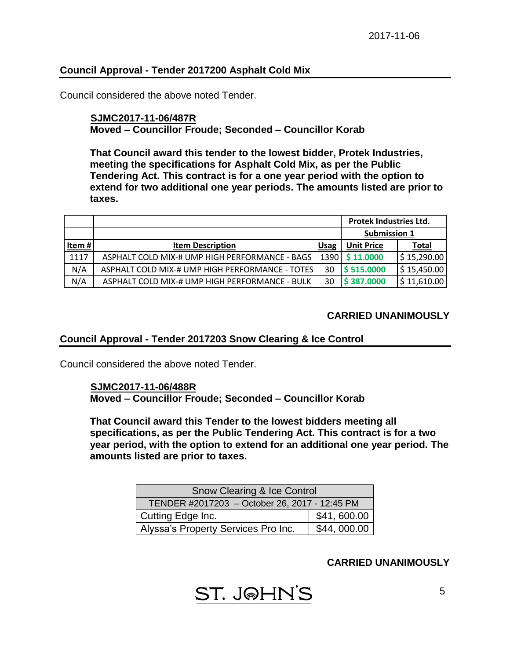## **Council Approval - Tender 2017200 Asphalt Cold Mix**

Council considered the above noted Tender.

#### **SJMC2017-11-06/487R Moved – Councillor Froude; Seconded – Councillor Korab**

**That Council award this tender to the lowest bidder, Protek Industries, meeting the specifications for Asphalt Cold Mix, as per the Public Tendering Act. This contract is for a one year period with the option to extend for two additional one year periods. The amounts listed are prior to taxes.**

|       |                                                 |             | Protek Industries Ltd. |                            |  |
|-------|-------------------------------------------------|-------------|------------------------|----------------------------|--|
|       |                                                 |             | <b>Submission 1</b>    |                            |  |
| Item# | <b>Item Description</b>                         | <b>Usag</b> | <b>Unit Price</b>      | Total                      |  |
| 1117  | ASPHALT COLD MIX-# UMP HIGH PERFORMANCE - BAGS  | 1390 l      | \$11.0000              | $\frac{1}{2}$ \$ 15,290.00 |  |
| N/A   | ASPHALT COLD MIX-# UMP HIGH PERFORMANCE - TOTES | 30          | \$515.0000             | $\frac{1}{2}$ 15,450.00    |  |
| N/A   | ASPHALT COLD MIX-# UMP HIGH PERFORMANCE - BULK  | 30          | \$387,0000             | $\frac{1}{2}$ 11,610.00    |  |

#### **CARRIED UNANIMOUSLY**

#### **Council Approval - Tender 2017203 Snow Clearing & Ice Control**

Council considered the above noted Tender.

#### **SJMC2017-11-06/488R**

**Moved – Councillor Froude; Seconded – Councillor Korab**

**That Council award this Tender to the lowest bidders meeting all specifications, as per the Public Tendering Act. This contract is for a two year period, with the option to extend for an additional one year period. The amounts listed are prior to taxes.**

| <b>Snow Clearing &amp; Ice Control</b>             |  |  |  |
|----------------------------------------------------|--|--|--|
| TENDER #2017203 - October 26, 2017 - 12:45 PM      |  |  |  |
| \$41,600.00<br>Cutting Edge Inc.                   |  |  |  |
| \$44,000.00<br>Alyssa's Property Services Pro Inc. |  |  |  |

**ST. J@HN'S**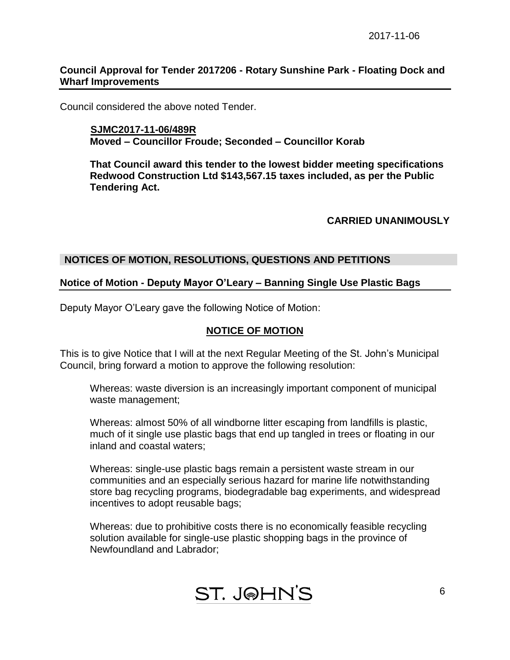#### **Council Approval for Tender 2017206 - Rotary Sunshine Park - Floating Dock and Wharf Improvements**

Council considered the above noted Tender.

#### **SJMC2017-11-06/489R Moved – Councillor Froude; Seconded – Councillor Korab**

**That Council award this tender to the lowest bidder meeting specifications Redwood Construction Ltd \$143,567.15 taxes included, as per the Public Tendering Act.**

#### **CARRIED UNANIMOUSLY**

#### **NOTICES OF MOTION, RESOLUTIONS, QUESTIONS AND PETITIONS**

#### **Notice of Motion - Deputy Mayor O'Leary – Banning Single Use Plastic Bags**

Deputy Mayor O'Leary gave the following Notice of Motion:

#### **NOTICE OF MOTION**

This is to give Notice that I will at the next Regular Meeting of the St. John's Municipal Council, bring forward a motion to approve the following resolution:

Whereas: waste diversion is an increasingly important component of municipal waste management;

Whereas: almost 50% of all windborne litter escaping from landfills is plastic, much of it single use plastic bags that end up tangled in trees or floating in our inland and coastal waters;

Whereas: single-use plastic bags remain a persistent waste stream in our communities and an especially serious hazard for marine life notwithstanding store bag recycling programs, biodegradable bag experiments, and widespread incentives to adopt reusable bags;

Whereas: due to prohibitive costs there is no economically feasible recycling solution available for single-use plastic shopping bags in the province of Newfoundland and Labrador;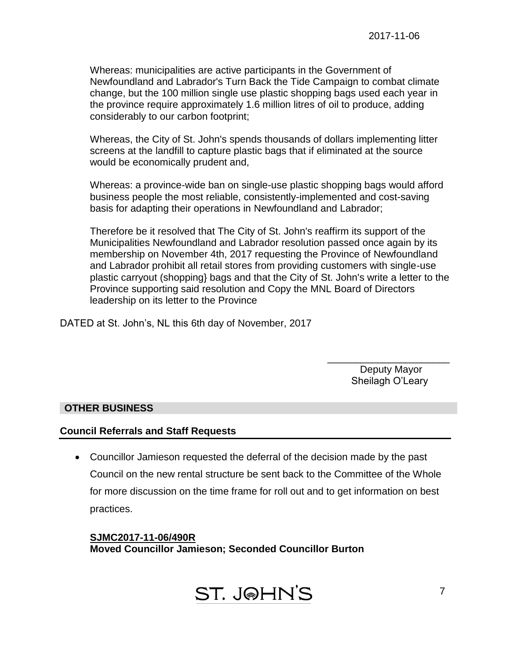Whereas: municipalities are active participants in the Government of Newfoundland and Labrador's Turn Back the Tide Campaign to combat climate change, but the 100 million single use plastic shopping bags used each year in the province require approximately 1.6 million litres of oil to produce, adding considerably to our carbon footprint;

Whereas, the City of St. John's spends thousands of dollars implementing litter screens at the landfill to capture plastic bags that if eliminated at the source would be economically prudent and,

Whereas: a province-wide ban on single-use plastic shopping bags would afford business people the most reliable, consistently-implemented and cost-saving basis for adapting their operations in Newfoundland and Labrador;

Therefore be it resolved that The City of St. John's reaffirm its support of the Municipalities Newfoundland and Labrador resolution passed once again by its membership on November 4th, 2017 requesting the Province of Newfoundland and Labrador prohibit all retail stores from providing customers with single-use plastic carryout (shopping} bags and that the City of St. John's write a letter to the Province supporting said resolution and Copy the MNL Board of Directors leadership on its letter to the Province

DATED at St. John's, NL this 6th day of November, 2017

\_\_\_\_\_\_\_\_\_\_\_\_\_\_\_\_\_\_\_\_\_\_ Deputy Mayor Sheilagh O'Leary

#### **OTHER BUSINESS**

#### **Council Referrals and Staff Requests**

 Councillor Jamieson requested the deferral of the decision made by the past Council on the new rental structure be sent back to the Committee of the Whole for more discussion on the time frame for roll out and to get information on best practices.

**SJMC2017-11-06/490R Moved Councillor Jamieson; Seconded Councillor Burton**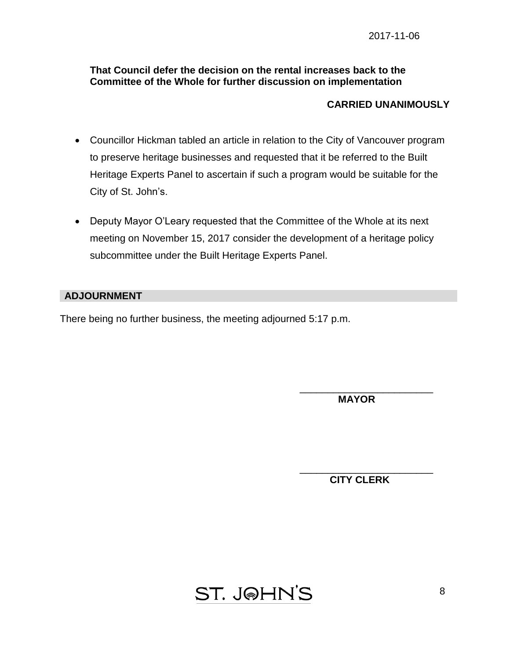#### **That Council defer the decision on the rental increases back to the Committee of the Whole for further discussion on implementation**

## **CARRIED UNANIMOUSLY**

- Councillor Hickman tabled an article in relation to the City of Vancouver program to preserve heritage businesses and requested that it be referred to the Built Heritage Experts Panel to ascertain if such a program would be suitable for the City of St. John's.
- Deputy Mayor O'Leary requested that the Committee of the Whole at its next meeting on November 15, 2017 consider the development of a heritage policy subcommittee under the Built Heritage Experts Panel.

#### **ADJOURNMENT**

There being no further business, the meeting adjourned 5:17 p.m.

 **MAYOR**

\_\_\_\_\_\_\_\_\_\_\_\_\_\_\_\_\_\_\_\_\_\_\_\_

\_\_\_\_\_\_\_\_\_\_\_\_\_\_\_\_\_\_\_\_\_\_\_\_ **CITY CLERK**

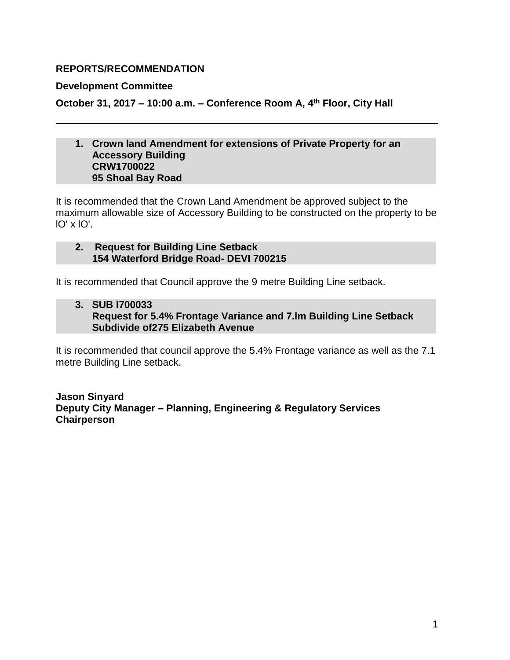## **REPORTS/RECOMMENDATION**

#### **Development Committee**

**October 31, 2017 – 10:00 a.m. – Conference Room A, 4th Floor, City Hall**

#### **1. Crown land Amendment for extensions of Private Property for an Accessory Building CRW1700022 95 Shoal Bay Road**

It is recommended that the Crown Land Amendment be approved subject to the maximum allowable size of Accessory Building to be constructed on the property to be lO' x lO'.

#### **2. Request for Building Line Setback 154 Waterford Bridge Road- DEVI 700215**

It is recommended that Council approve the 9 metre Building Line setback.

## **3. SUB l700033 Request for 5.4% Frontage Variance and 7.lm Building Line Setback Subdivide of275 Elizabeth Avenue**

It is recommended that council approve the 5.4% Frontage variance as well as the 7.1 metre Building Line setback.

**Jason Sinyard Deputy City Manager – Planning, Engineering & Regulatory Services Chairperson**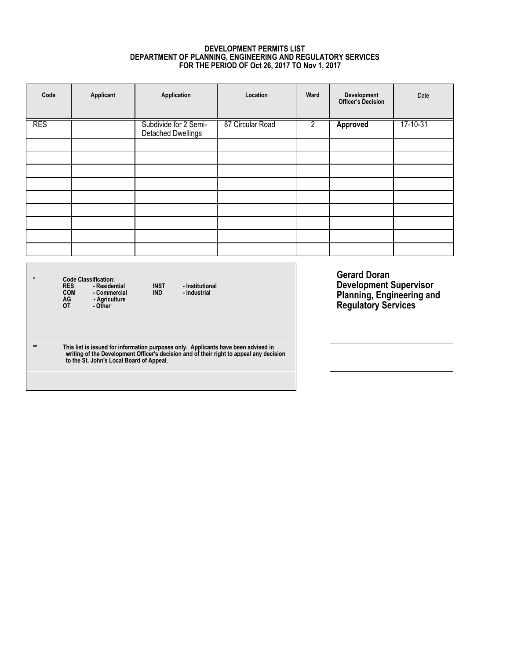#### **DEVELOPMENT PERMITS LIST DEPARTMENT OF PLANNING, ENGINEERING AND REGULATORY SERVICES FOR THE PERIOD OF Oct 26, 2017 TO Nov 1, 2017**

| Code       | Applicant | Application                                        | Location         | Ward           | Development<br>Officer's Decision | Date     |
|------------|-----------|----------------------------------------------------|------------------|----------------|-----------------------------------|----------|
| <b>RES</b> |           | Subdivide for 2 Semi-<br><b>Detached Dwellings</b> | 87 Circular Road | $\overline{2}$ | Approved                          | 17-10-31 |
|            |           |                                                    |                  |                |                                   |          |
|            |           |                                                    |                  |                |                                   |          |
|            |           |                                                    |                  |                |                                   |          |
|            |           |                                                    |                  |                |                                   |          |
|            |           |                                                    |                  |                |                                   |          |
|            |           |                                                    |                  |                |                                   |          |
|            |           |                                                    |                  |                |                                   |          |
|            |           |                                                    |                  |                |                                   |          |
|            |           |                                                    |                  |                |                                   |          |

\* Code Classification:<br>RES - Residential INST - Institutional<br>COM - Commercial IND - Industrial<br>AG - Agriculture<br>OT - Other

\*\* This list is issued for information purposes only. Applicants have been advised in<br>writing of the Development Officer's decision and of their right to appeal any decision<br>to the St. John's Local Board of Appeal.

**Gerard Doran Development Supervisor Planning, Engineering and Regulatory Services**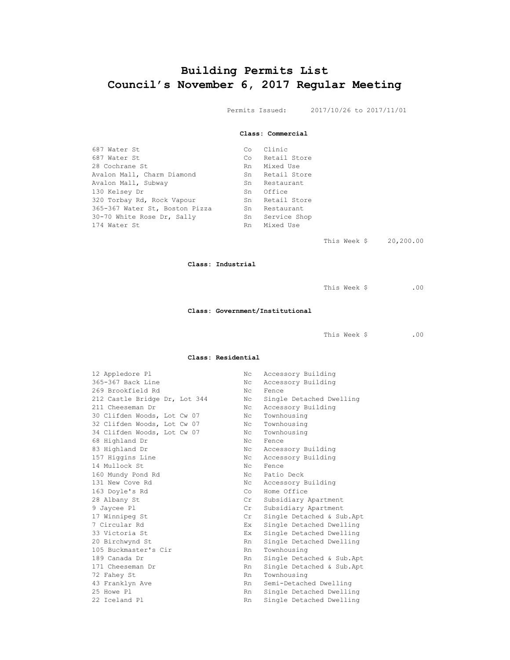## **Building Permits List Council's November 6, 2017 Regular Meeting**

Permits Issued: 2017/10/26 to 2017/11/01

#### **Class: Commercial**

| 687 Water St                   | $\mathbb{C} \circ$ | Clinic       |
|--------------------------------|--------------------|--------------|
| 687 Water St                   | Co.                | Retail Store |
| 28 Cochrane St                 | Rn                 | Mixed Use    |
| Avalon Mall, Charm Diamond     | Sn                 | Retail Store |
| Avalon Mall, Subway            | Sn                 | Restaurant   |
| 130 Kelsey Dr                  | Sn                 | Office       |
| 320 Torbay Rd, Rock Vapour     | Sn                 | Retail Store |
| 365-367 Water St, Boston Pizza | Sn                 | Restaurant   |
| 30-70 White Rose Dr, Sally     | Sn                 | Service Shop |
| 174 Water St                   | Rn                 | Mixed Use    |

This Week \$ 20,200.00

#### **Class: Industrial**

This Week \$ .00

#### **Class: Government/Institutional**

This Week \$ .00

#### **Class: Residential**

| 12 Appledore Pl               | Nc.         | Accessory Building         |
|-------------------------------|-------------|----------------------------|
| 365-367 Back Line             | Nc.         | Accessory Building         |
| 269 Brookfield Rd             | Nc.         | Fence                      |
| 212 Castle Bridge Dr, Lot 344 | Nc.         | Single Detached Dwelling   |
| 211 Cheeseman Dr              | Nc          | Accessory Building         |
| 30 Clifden Woods, Lot Cw 07   | Nc          | Townhousing                |
| 32 Clifden Woods, Lot Cw 07   | Nc.         | Townhousing                |
| 34 Clifden Woods, Lot Cw 07   | Nc          | Townhousing                |
| 68 Highland Dr                | Nc.         | Fence                      |
| 83 Highland Dr                | Nc          | Accessory Building         |
| 157 Higgins Line              | Nc          | Accessory Building         |
| 14 Mullock St                 | Nc.         | Fence                      |
| 160 Mundy Pond Rd             | Nc.         | Patio Deck                 |
| 131 New Cove Rd               | $N_{\rm C}$ | Accessory Building         |
| 163 Doyle's Rd                | Co          | Home Office                |
| 28 Albany St                  | Cr          | Subsidiary Apartment       |
| 9 Jaycee Pl                   | Cr          | Subsidiary Apartment       |
| 17 Winnipeg St                | Cr          | Single Detached & Sub.Apt  |
| 7 Circular Rd                 | Ex          | Single Detached Dwelling   |
| 33 Victoria St                | Ex          | Single Detached Dwelling   |
| 20 Birchwynd St               | Rn          | Single Detached Dwelling   |
| 105 Buckmaster's Cir          | Rn          | Townhousing                |
| 189 Canada Dr                 | Rn          | Single Detached & Sub. Apt |
| 171 Cheeseman Dr              | Rn          | Single Detached & Sub. Apt |
| 72 Fahey St                   | Rn          | Townhousing                |
| 43 Franklyn Ave               | Rn -        | Semi-Detached Dwelling     |
| 25 Howe Pl                    | Rn          | Single Detached Dwelling   |
| 22 Iceland Pl                 | Rn          | Single Detached Dwelling   |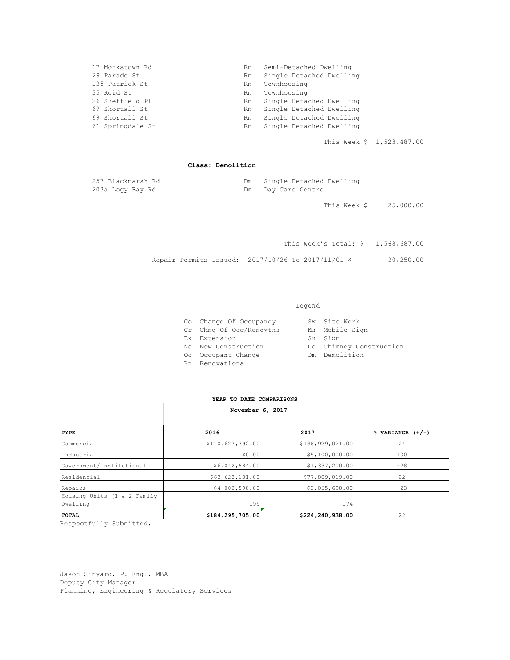| 17 Monkstown Rd  | Rn | Semi-Detached Dwelling   |
|------------------|----|--------------------------|
| 29 Parade St     | Rn | Single Detached Dwelling |
| 135 Patrick St   | Rn | Townhousing              |
| 35 Reid St       | Rn | Townhousing              |
| 26 Sheffield Pl  | Rn | Single Detached Dwelling |
| 69 Shortall St   | Rn | Single Detached Dwelling |
| 69 Shortall St   | Rn | Single Detached Dwelling |
| 61 Springdale St | Rn | Single Detached Dwelling |
|                  |    |                          |

This Week \$ 1,523,487.00

#### **Class: Demolition**

| 257 Blackmarsh Rd |    | Dm Single Detached Dwelling |
|-------------------|----|-----------------------------|
| 203a Logy Bay Rd  | Dm | Day Care Centre             |

This Week \$ 25,000.00

This Week's Total: \$ 1,568,687.00 Repair Permits Issued: 2017/10/26 To 2017/11/01 \$ 30,250.00

#### Legend

| Co Change Of Occupancy  | Sw Site Work            |
|-------------------------|-------------------------|
| Cr Chng Of Occ/Renovtns | Ms Mobile Sign          |
| Ex Extension            | Sn Sign                 |
| No New Construction     | Cc Chimney Construction |
| Oc Occupant Change      | Dm Demolition           |
| Rn Renovations          |                         |

| YEAR TO DATE COMPARISONS    |                    |                    |                                |  |  |
|-----------------------------|--------------------|--------------------|--------------------------------|--|--|
|                             | November 6, 2017   |                    |                                |  |  |
|                             |                    |                    |                                |  |  |
| TYPE                        | 2016               | 2017               | $\sqrt[3]{ }$ VARIANCE $(+/-)$ |  |  |
| Commercial                  | \$110,627,392.00   | \$136, 929, 021.00 | 24                             |  |  |
| Industrial                  | \$0.00             | \$5,100,000.00     | 100                            |  |  |
| Government/Institutional    | \$6,042,584.00     | \$1,337,200.00     | $-78$                          |  |  |
| Residential                 | \$63,623,131.00    | \$77,809,019.00    | 22                             |  |  |
| Repairs                     | \$4,002,598.00     | \$3,065,698.00     | $-23$                          |  |  |
| Housing Units (1 & 2 Family |                    |                    |                                |  |  |
| Dwelling)                   | 199                | 174                |                                |  |  |
| <b>TOTAL</b>                | \$184, 295, 705.00 | \$224, 240, 938.00 | 22                             |  |  |

Respectfully Submitted,

Jason Sinyard, P. Eng., MBA Deputy City Manager Planning, Engineering & Regulatory Services